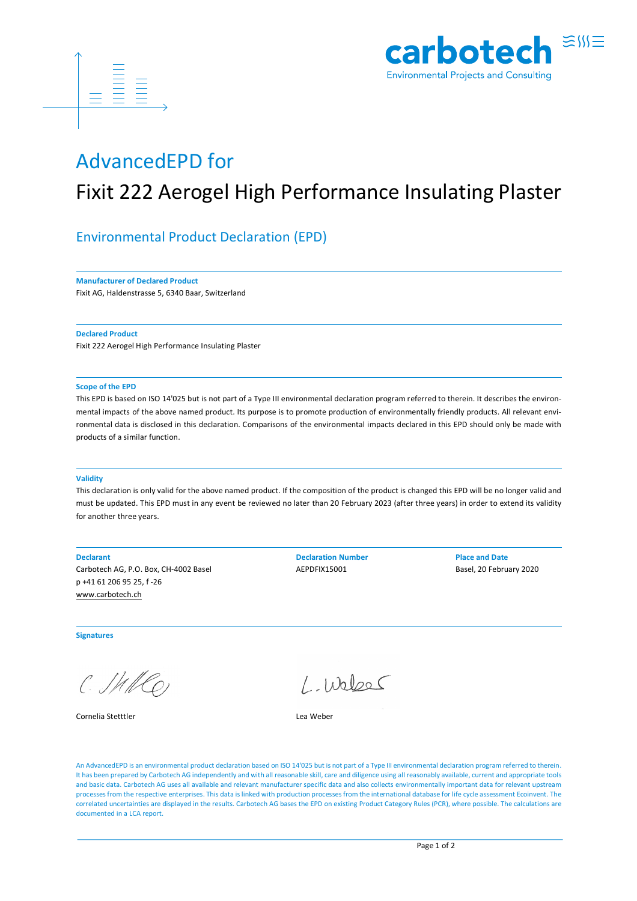



## AdvancedEPD for

# Fixit 222 Aerogel High Performance Insulating Plaster

### Environmental Product Declaration (EPD)

**Manufacturer of Declared Product**

Fixit AG, Haldenstrasse 5, 6340 Baar, Switzerland

**Declared Product**

Fixit 222 Aerogel High Performance Insulating Plaster

#### **Scope of the EPD**

This EPD is based on ISO 14'025 but is not part of a Type III environmental declaration program referred to therein. It describes the environmental impacts of the above named product. Its purpose is to promote production of environmentally friendly products. All relevant environmental data is disclosed in this declaration. Comparisons of the environmental impacts declared in this EPD should only be made with products of a similar function.

#### **Validity**

This declaration is only valid for the above named product. If the composition of the product is changed this EPD will be no longer valid and must be updated. This EPD must in any event be reviewed no later than 20 February 2023 (after three years) in order to extend its validity for another three years.

Carbotech AG, P.O. Box, CH-4002 Basel **AEPDFIX15001** AEPDFIX15001 Basel, 20 February 2020 p +41 61 206 95 25, f -26 www.carbotech.ch

**Declarant Declaration Number Place and Date**

**Signatures**

C. Shillo

Cornelia Stetttler Lea Weber

t

An AdvancedEPD is an environmental product declaration based on ISO 14'025 but is not part of a Type III environmental declaration program referred to therein. It has been prepared by Carbotech AG independently and with all reasonable skill, care and diligence using all reasonably available, current and appropriate tools and basic data. Carbotech AG uses all available and relevant manufacturer specific data and also collects environmentally important data for relevant upstream processes from the respective enterprises. This data is linked with production processes from the international database for life cycle assessment Ecoinvent. The correlated uncertainties are displayed in the results. Carbotech AG bases the EPD on existing Product Category Rules (PCR), where possible. The calculations are documented in a LCA report.